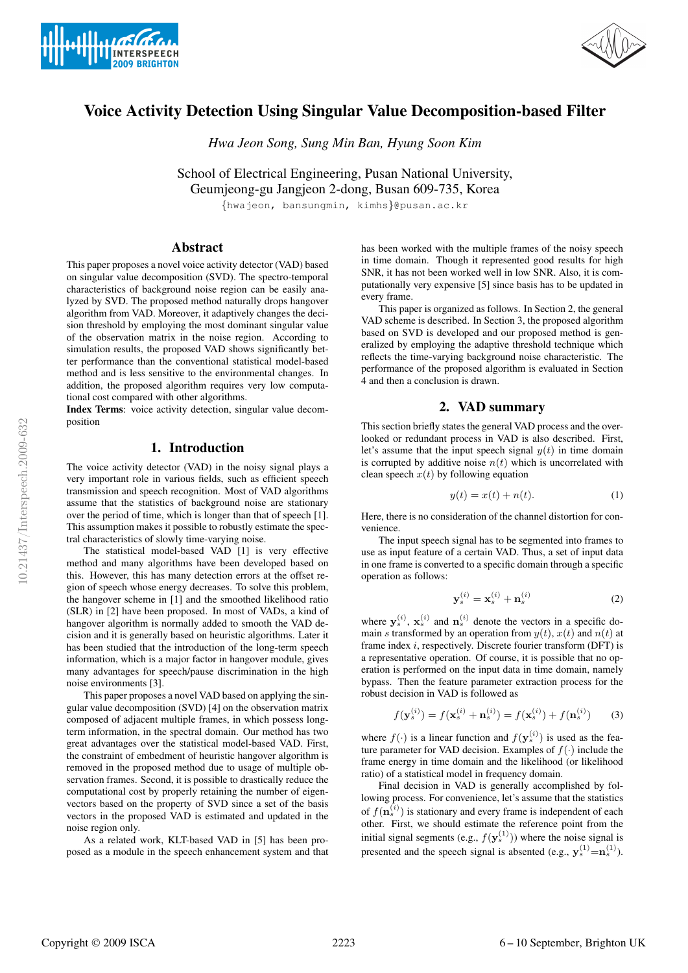



# Voice Activity Detection Using Singular Value Decomposition-based Filter

*Hwa Jeon Song, Sung Min Ban, Hyung Soon Kim*

School of Electrical Engineering, Pusan National University, Geumjeong-gu Jangjeon 2-dong, Busan 609-735, Korea

{hwajeon, bansungmin, kimhs}@pusan.ac.kr

## Abstract

This paper proposes a novel voice activity detector (VAD) based on singular value decomposition (SVD). The spectro-temporal characteristics of background noise region can be easily analyzed by SVD. The proposed method naturally drops hangover algorithm from VAD. Moreover, it adaptively changes the decision threshold by employing the most dominant singular value of the observation matrix in the noise region. According to simulation results, the proposed VAD shows significantly better performance than the conventional statistical model-based method and is less sensitive to the environmental changes. In addition, the proposed algorithm requires very low computational cost compared with other algorithms.

Index Terms: voice activity detection, singular value decomposition

## 1. Introduction

The voice activity detector (VAD) in the noisy signal plays a very important role in various fields, such as efficient speech transmission and speech recognition. Most of VAD algorithms assume that the statistics of background noise are stationary over the period of time, which is longer than that of speech [1]. This assumption makes it possible to robustly estimate the spectral characteristics of slowly time-varying noise.

The statistical model-based VAD [1] is very effective method and many algorithms have been developed based on this. However, this has many detection errors at the offset region of speech whose energy decreases. To solve this problem, the hangover scheme in [1] and the smoothed likelihood ratio (SLR) in [2] have been proposed. In most of VADs, a kind of hangover algorithm is normally added to smooth the VAD decision and it is generally based on heuristic algorithms. Later it has been studied that the introduction of the long-term speech information, which is a major factor in hangover module, gives many advantages for speech/pause discrimination in the high noise environments [3].

This paper proposes a novel VAD based on applying the singular value decomposition (SVD) [4] on the observation matrix composed of adjacent multiple frames, in which possess longterm information, in the spectral domain. Our method has two great advantages over the statistical model-based VAD. First, the constraint of embedment of heuristic hangover algorithm is removed in the proposed method due to usage of multiple observation frames. Second, it is possible to drastically reduce the computational cost by properly retaining the number of eigenvectors based on the property of SVD since a set of the basis vectors in the proposed VAD is estimated and updated in the noise region only.

As a related work, KLT-based VAD in [5] has been proposed as a module in the speech enhancement system and that has been worked with the multiple frames of the noisy speech in time domain. Though it represented good results for high SNR, it has not been worked well in low SNR. Also, it is computationally very expensive [5] since basis has to be updated in every frame.

This paper is organized as follows. In Section 2, the general VAD scheme is described. In Section 3, the proposed algorithm based on SVD is developed and our proposed method is generalized by employing the adaptive threshold technique which reflects the time-varying background noise characteristic. The performance of the proposed algorithm is evaluated in Section 4 and then a conclusion is drawn.

## 2. VAD summary

This section briefly states the general VAD process and the overlooked or redundant process in VAD is also described. First, let's assume that the input speech signal  $y(t)$  in time domain is corrupted by additive noise  $n(t)$  which is uncorrelated with clean speech  $x(t)$  by following equation

$$
y(t) = x(t) + n(t). \tag{1}
$$

Here, there is no consideration of the channel distortion for convenience.

The input speech signal has to be segmented into frames to use as input feature of a certain VAD. Thus, a set of input data in one frame is converted to a specific domain through a specific operation as follows:

$$
\mathbf{y}_s^{(i)} = \mathbf{x}_s^{(i)} + \mathbf{n}_s^{(i)}
$$
 (2)

where  $y_s^{(i)}$ ,  $x_s^{(i)}$  and  $n_s^{(i)}$  denote the vectors in a specific domain s transformed by an operation from  $y(t)$ ,  $x(t)$  and  $n(t)$  at frame index  $i$ , respectively. Discrete fourier transform (DFT) is a representative operation. Of course, it is possible that no operation is performed on the input data in time domain, namely bypass. Then the feature parameter extraction process for the robust decision in VAD is followed as

$$
f(\mathbf{y}_s^{(i)}) = f(\mathbf{x}_s^{(i)} + \mathbf{n}_s^{(i)}) = f(\mathbf{x}_s^{(i)}) + f(\mathbf{n}_s^{(i)})
$$
(3)

where  $f(\cdot)$  is a linear function and  $f(\mathbf{y}_s^{(i)})$  is used as the feature parameter for VAD decision. Examples of  $f(.)$  include the frame energy in time domain and the likelihood (or likelihood ratio) of a statistical model in frequency domain.

Final decision in VAD is generally accomplished by following process. For convenience, let's assume that the statistics of  $f(\mathbf{n}_s^{(i)})$  is stationary and every frame is independent of each other. First, we should estimate the reference point from the initial signal segments (e.g.,  $f(\mathbf{y}_s^{(1)})$ ) where the noise signal is presented and the speech signal is absented (e.g.,  $y_s^{(1)} = n_s^{(1)}$ ).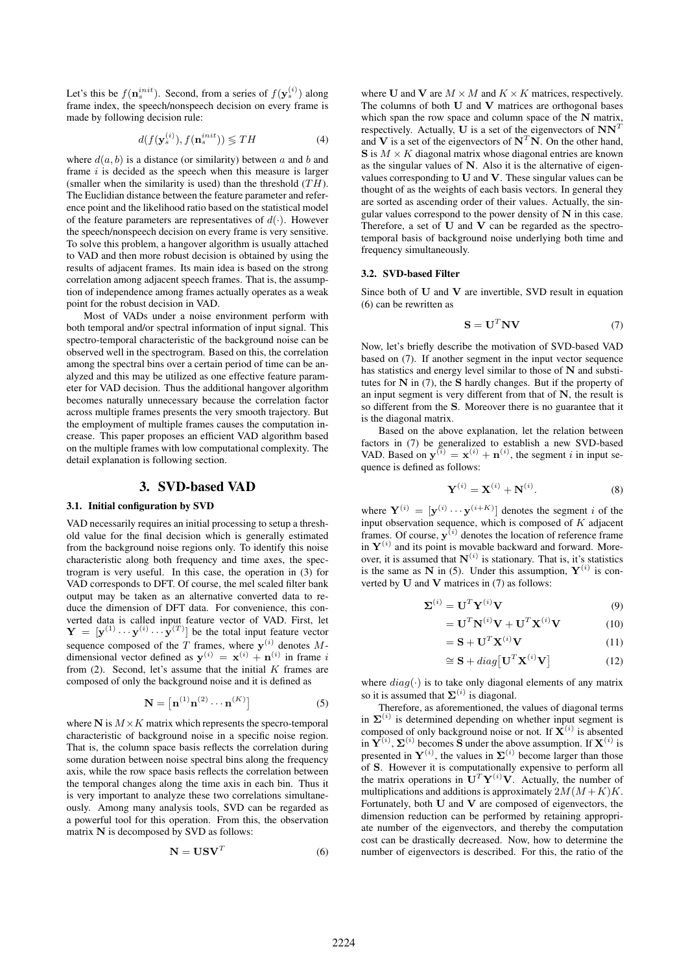Let's this be  $f(\mathbf{n}_s^{init})$ . Second, from a series of  $f(\mathbf{y}_s^{(i)})$  along frame index, the speech/nonspeech decision on every frame is made by following decision rule:

$$
d(f(\mathbf{y}_s^{(i)}), f(\mathbf{n}_s^{init})) \lessgtr T H \tag{4}
$$

where  $d(a, b)$  is a distance (or similarity) between a and b and frame  $i$  is decided as the speech when this measure is larger (smaller when the similarity is used) than the threshold  $(TH)$ . The Euclidian distance between the feature parameter and reference point and the likelihood ratio based on the statistical model of the feature parameters are representatives of  $d(\cdot)$ . However the speech/nonspeech decision on every frame is very sensitive. To solve this problem, a hangover algorithm is usually attached to VAD and then more robust decision is obtained by using the results of adjacent frames. Its main idea is based on the strong correlation among adjacent speech frames. That is, the assumption of independence among frames actually operates as a weak point for the robust decision in VAD.

Most of VADs under a noise environment perform with both temporal and/or spectral information of input signal. This spectro-temporal characteristic of the background noise can be observed well in the spectrogram. Based on this, the correlation among the spectral bins over a certain period of time can be analyzed and this may be utilized as one effective feature parameter for VAD decision. Thus the additional hangover algorithm becomes naturally unnecessary because the correlation factor across multiple frames presents the very smooth trajectory. But the employment of multiple frames causes the computation increase. This paper proposes an efficient VAD algorithm based on the multiple frames with low computational complexity. The detail explanation is following section.

#### 3. SVD-based VAD

### 3.1. Initial configuration by SVD

VAD necessarily requires an initial processing to setup a threshold value for the final decision which is generally estimated from the background noise regions only. To identify this noise characteristic along both frequency and time axes, the spectrogram is very useful. In this case, the operation in (3) for VAD corresponds to DFT. Of course, the mel scaled filter bank output may be taken as an alternative converted data to reduce the dimension of DFT data. For convenience, this converted data is called input feature vector of VAD. First, let  $\mathbf{Y} = [\mathbf{y}^{(1)} \cdots \mathbf{y}^{(i)} \cdots \mathbf{y}^{(T)}]$  be the total input feature vector sequence composed of the T frames, where  $y^{(i)}$  denotes Mdimensional vector defined as  $y^{(i)} = x^{(i)} + n^{(i)}$  in frame i from  $(2)$ . Second, let's assume that the initial K frames are composed of only the background noise and it is defined as

$$
\mathbf{N} = \left[ \mathbf{n}^{(1)} \mathbf{n}^{(2)} \cdots \mathbf{n}^{(K)} \right] \tag{5}
$$

where  $N$  is  $M \times K$  matrix which represents the specro-temporal characteristic of background noise in a specific noise region. That is, the column space basis reflects the correlation during some duration between noise spectral bins along the frequency axis, while the row space basis reflects the correlation between the temporal changes along the time axis in each bin. Thus it is very important to analyze these two correlations simultaneously. Among many analysis tools, SVD can be regarded as a powerful tool for this operation. From this, the observation matrix N is decomposed by SVD as follows:

$$
N = USVT
$$
 (6)

where U and V are  $M \times M$  and  $K \times K$  matrices, respectively. The columns of both  $U$  and  $V$  matrices are orthogonal bases which span the row space and column space of the N matrix, respectively. Actually, U is a set of the eigenvectors of  $NN<sup>T</sup>$ and V is a set of the eigenvectors of  $N^T N$ . On the other hand,  $S$  is  $M \times K$  diagonal matrix whose diagonal entries are known as the singular values of N. Also it is the alternative of eigenvalues corresponding to U and V. These singular values can be thought of as the weights of each basis vectors. In general they are sorted as ascending order of their values. Actually, the singular values correspond to the power density of  $N$  in this case. Therefore, a set of U and V can be regarded as the spectrotemporal basis of background noise underlying both time and frequency simultaneously.

#### 3.2. SVD-based Filter

Since both of  $U$  and  $V$  are invertible, SVD result in equation (6) can be rewritten as

$$
\mathbf{S} = \mathbf{U}^T \mathbf{N} \mathbf{V} \tag{7}
$$

Now, let's briefly describe the motivation of SVD-based VAD based on (7). If another segment in the input vector sequence has statistics and energy level similar to those of N and substitutes for  $N$  in (7), the  $S$  hardly changes. But if the property of an input segment is very different from that of  $N$ , the result is so different from the S. Moreover there is no guarantee that it is the diagonal matrix.

Based on the above explanation, let the relation between factors in (7) be generalized to establish a new SVD-based VAD. Based on  $y^{(i)} = x^{(i)} + n^{(i)}$ , the segment *i* in input sequence is defined as follows:

$$
\mathbf{Y}^{(i)} = \mathbf{X}^{(i)} + \mathbf{N}^{(i)}.\tag{8}
$$

where  $\mathbf{Y}^{(i)} = [\mathbf{y}^{(i)} \cdots \mathbf{y}^{(i+K)}]$  denotes the segment i of the input observation sequence, which is composed of  $K$  adjacent frames. Of course,  $y^{(i)}$  denotes the location of reference frame in  $Y^{(i)}$  and its point is movable backward and forward. Moreover, it is assumed that  $N^{(i)}$  is stationary. That is, it's statistics is the same as N in (5). Under this assumption,  $Y^{(i)}$  is converted by  $U$  and  $V$  matrices in  $(7)$  as follows:

$$
\mathbf{\Sigma}^{(i)} = \mathbf{U}^T \mathbf{Y}^{(i)} \mathbf{V} \tag{9}
$$

$$
= \mathbf{U}^T \mathbf{N}^{(i)} \mathbf{V} + \mathbf{U}^T \mathbf{X}^{(i)} \mathbf{V}
$$
 (10)

$$
= \mathbf{S} + \mathbf{U}^T \mathbf{X}^{(i)} \mathbf{V}
$$
 (11)

$$
\cong \mathbf{S} + diag[\mathbf{U}^T \mathbf{X}^{(i)} \mathbf{V}] \tag{12}
$$

where  $diag(\cdot)$  is to take only diagonal elements of any matrix so it is assumed that  $\Sigma^{(i)}$  is diagonal.

Therefore, as aforementioned, the values of diagonal terms in  $\Sigma^{(i)}$  is determined depending on whether input segment is composed of only background noise or not. If  $\mathbf{X}^{(i)}$  is absented in  $Y^{(i)}$ ,  $\Sigma^{(i)}$  becomes S under the above assumption. If  $X^{(i)}$  is presented in  $Y^{(i)}$ , the values in  $\Sigma^{(i)}$  become larger than those of S. However it is computationally expensive to perform all the matrix operations in  $\mathbf{U}^T \mathbf{Y}^{(i)} \mathbf{V}$ . Actually, the number of multiplications and additions is approximately  $2M(M+K)K$ . Fortunately, both  $U$  and  $V$  are composed of eigenvectors, the dimension reduction can be performed by retaining appropriate number of the eigenvectors, and thereby the computation cost can be drastically decreased. Now, how to determine the number of eigenvectors is described. For this, the ratio of the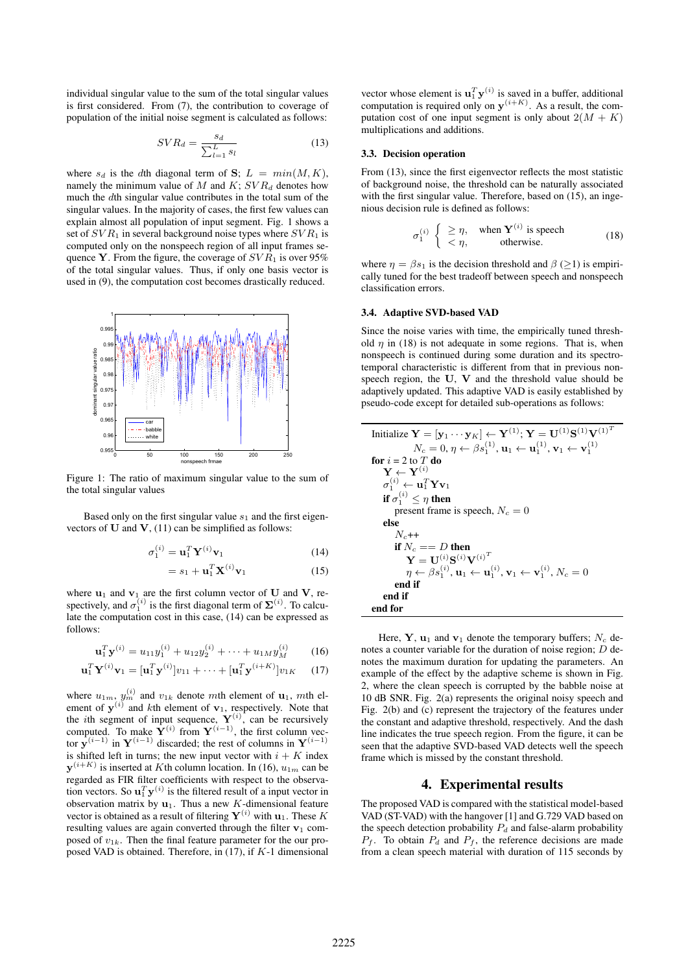individual singular value to the sum of the total singular values is first considered. From (7), the contribution to coverage of population of the initial noise segment is calculated as follows:

$$
SVR_d = \frac{s_d}{\sum_{l=1}^{L} s_l} \tag{13}
$$

where  $s_d$  is the dth diagonal term of S;  $L = min(M, K)$ , namely the minimum value of M and  $K$ ;  $SVR_d$  denotes how much the dth singular value contributes in the total sum of the singular values. In the majority of cases, the first few values can explain almost all population of input segment. Fig. 1 shows a set of  $SVR_1$  in several background noise types where  $SVR_1$  is computed only on the nonspeech region of all input frames sequence Y. From the figure, the coverage of  $SVR_1$  is over 95% of the total singular values. Thus, if only one basis vector is used in (9), the computation cost becomes drastically reduced.



Figure 1: The ratio of maximum singular value to the sum of the total singular values

Based only on the first singular value  $s_1$  and the first eigenvectors of  **and**  $**V**$ **, (11) can be simplified as follows:** 

$$
\sigma_1^{(i)} = \mathbf{u}_1^T \mathbf{Y}^{(i)} \mathbf{v}_1 \tag{14}
$$

$$
=s_1 + \mathbf{u}_1^T \mathbf{X}^{(i)} \mathbf{v}_1 \tag{15}
$$

where  $\mathbf{u}_1$  and  $\mathbf{v}_1$  are the first column vector of U and V, respectively, and  $\sigma_1^{(i)}$  is the first diagonal term of  $\Sigma^{(i)}$ . To calculate the computation cost in this case, (14) can be expressed as follows:

$$
\mathbf{u}_1^T \mathbf{y}^{(i)} = u_{11} y_1^{(i)} + u_{12} y_2^{(i)} + \dots + u_{1M} y_M^{(i)} \tag{16}
$$

$$
\mathbf{u}_1^T \mathbf{Y}^{(i)} \mathbf{v}_1 = [\mathbf{u}_1^T \mathbf{y}^{(i)}] v_{11} + \dots + [\mathbf{u}_1^T \mathbf{y}^{(i+K)}] v_{1K} \quad (17)
$$

where  $u_{1m}$ ,  $y_m^{(i)}$  and  $v_{1k}$  denote mth element of  $u_1$ , mth element of  $y^{(i)}$  and kth element of  $v_1$ , respectively. Note that the *i*th segment of input sequence,  $Y^{(i)}$ , can be recursively computed. To make  $Y^{(i)}$  from  $Y^{(i-1)}$ , the first column vector  $\mathbf{v}^{(i-1)}$  in  $\mathbf{Y}^{(i-1)}$  discarded; the rest of columns in  $\mathbf{Y}^{(i-1)}$ is shifted left in turns; the new input vector with  $i + K$  index  **is inserted at Kth column location. In (16),**  $u_{1m}$  **can be** regarded as FIR filter coefficients with respect to the observation vectors. So  $\mathbf{u}_1^T \mathbf{y}^{(i)}$  is the filtered result of a input vector in observation matrix by  $\mathbf{u}_1$ . Thus a new K-dimensional feature vector is obtained as a result of filtering  $Y^{(i)}$  with  $u_1$ . These K resulting values are again converted through the filter  $v_1$  composed of  $v_{1k}$ . Then the final feature parameter for the our proposed VAD is obtained. Therefore, in  $(17)$ , if  $K-1$  dimensional

vector whose element is  $\mathbf{u}_1^T \mathbf{y}^{(i)}$  is saved in a buffer, additional computation is required only on  $y^{(i+K)}$ . As a result, the computation cost of one input segment is only about  $2(M + K)$ multiplications and additions.

#### 3.3. Decision operation

From (13), since the first eigenvector reflects the most statistic of background noise, the threshold can be naturally associated with the first singular value. Therefore, based on (15), an ingenious decision rule is defined as follows:

$$
\sigma_1^{(i)} \begin{cases} \geq \eta, & \text{when } \mathbf{Y}^{(i)} \text{ is speech} \\ & < \eta, & \text{otherwise.} \end{cases}
$$
 (18)

where  $\eta = \beta s_1$  is the decision threshold and  $\beta$  ( $\geq$ 1) is empirically tuned for the best tradeoff between speech and nonspeech classification errors.

#### 3.4. Adaptive SVD-based VAD

Since the noise varies with time, the empirically tuned threshold  $\eta$  in (18) is not adequate in some regions. That is, when nonspeech is continued during some duration and its spectrotemporal characteristic is different from that in previous nonspeech region, the  $U, V$  and the threshold value should be adaptively updated. This adaptive VAD is easily established by pseudo-code except for detailed sub-operations as follows:

| Initialize $\mathbf{Y} = [\mathbf{y}_1 \cdots \mathbf{y}_K] \leftarrow \mathbf{Y}^{(1)}$ ; $\mathbf{Y} = \mathbf{U}^{(1)} \mathbf{S}^{(1)} \mathbf{V}^{(1)^T}$ |
|----------------------------------------------------------------------------------------------------------------------------------------------------------------|
| $N_c = 0, \eta \leftarrow \beta s_1^{(1)}, \mathbf{u}_1 \leftarrow \mathbf{u}_1^{(1)}, \mathbf{v}_1 \leftarrow \mathbf{v}_1^{(1)}$                             |
| <b>for</b> $i = 2$ to T <b>do</b>                                                                                                                              |
| $\mathbf{Y} \leftarrow \mathbf{Y}^{(i)}$                                                                                                                       |
| $\sigma_1^{(i)} \leftarrow \mathbf{u}_1^T \mathbf{Y} \mathbf{v}_1$                                                                                             |
| if $\sigma_1^{(i)} < \eta$ then                                                                                                                                |
| present frame is speech, $N_c = 0$                                                                                                                             |
| else                                                                                                                                                           |
| $N_{c}++$                                                                                                                                                      |
| if $N_c == D$ then                                                                                                                                             |
| $\mathbf{V} = \mathbf{H}^{(i)} \mathbf{S}^{(i)} \mathbf{V}^{(i)^{T}}$                                                                                          |
| $\eta \leftarrow \beta s_1^{(i)}, \mathbf{u}_1 \leftarrow \mathbf{u}_1^{(i)}, \mathbf{v}_1 \leftarrow \mathbf{v}_1^{(i)}, N_c = 0$                             |
| end if                                                                                                                                                         |
| end if                                                                                                                                                         |
| end for                                                                                                                                                        |

Here,  $\mathbf{Y}, \mathbf{u}_1$  and  $\mathbf{v}_1$  denote the temporary buffers;  $N_c$  denotes a counter variable for the duration of noise region; D denotes the maximum duration for updating the parameters. An example of the effect by the adaptive scheme is shown in Fig. 2, where the clean speech is corrupted by the babble noise at 10 dB SNR. Fig. 2(a) represents the original noisy speech and Fig. 2(b) and (c) represent the trajectory of the features under the constant and adaptive threshold, respectively. And the dash line indicates the true speech region. From the figure, it can be seen that the adaptive SVD-based VAD detects well the speech frame which is missed by the constant threshold.

## 4. Experimental results

The proposed VAD is compared with the statistical model-based VAD (ST-VAD) with the hangover [1] and G.729 VAD based on the speech detection probability  $P_d$  and false-alarm probability  $P_f$ . To obtain  $P_d$  and  $P_f$ , the reference decisions are made from a clean speech material with duration of 115 seconds by